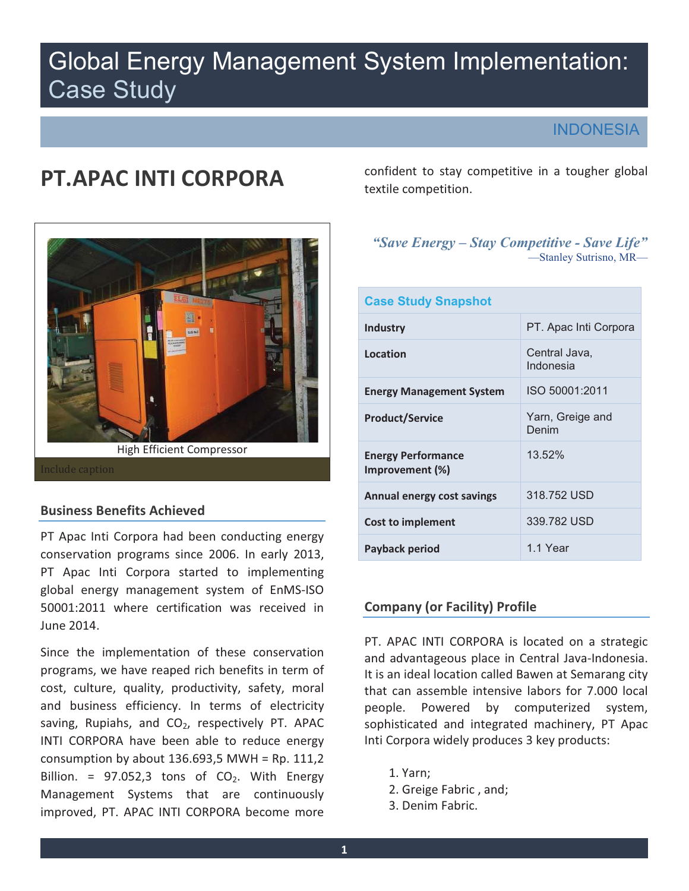# Global Energy Management System Implementation: Case Study

### **INDONESIA**

# **PT.APAC INTI CORPORA**



#### **Business Benefits Achieved**

PT Apac Inti Corpora had been conducting energy conservation programs since 2006. In early 2013, PT Apac Inti Corpora started to implementing global energy management system of EnMS-ISO 50001:2011 where certification was received in June 2014.

Since the implementation of these conservation programs, we have reaped rich benefits in term of cost, culture, quality, productivity, safety, moral and business efficiency. In terms of electricity saving, Rupiahs, and  $CO<sub>2</sub>$ , respectively PT. APAC INTI CORPORA have been able to reduce energy consumption by about  $136.693,5$  MWH = Rp.  $111,2$ Billion. = 97.052,3 tons of  $CO<sub>2</sub>$ . With Energy Management Systems that are continuously improved, PT. APAC INTI CORPORA become more

confident to stay competitive in a tougher global textile competition.

# *"Save Energy – Stay Competitive - Save Life"*  —Stanley Sutrisno, MR—

| <b>Case Study Snapshot</b>                   |                            |  |  |  |
|----------------------------------------------|----------------------------|--|--|--|
| <b>Industry</b>                              | PT. Apac Inti Corpora      |  |  |  |
| Location                                     | Central Java,<br>Indonesia |  |  |  |
| <b>Energy Management System</b>              | ISO 50001:2011             |  |  |  |
| <b>Product/Service</b>                       | Yarn, Greige and<br>Denim  |  |  |  |
| <b>Energy Performance</b><br>Improvement (%) | 13.52%                     |  |  |  |
| <b>Annual energy cost savings</b>            | 318.752 USD                |  |  |  |
| Cost to implement                            | 339.782 USD                |  |  |  |
| Payback period                               | 1.1 Year                   |  |  |  |

### **Company (or Facility) Profile**

PT. APAC INTI CORPORA is located on a strategic and advantageous place in Central Java-Indonesia. It is an ideal location called Bawen at Semarang city that can assemble intensive labors for 7. 000 local people. Powered by computerized system, sophisticated and integrated machinery, PT Apac Inti Corpora widely produces 3 key products:

- 1. Yarn;
- 2. Greige Fabric , and;
- 3. Denim Fabric.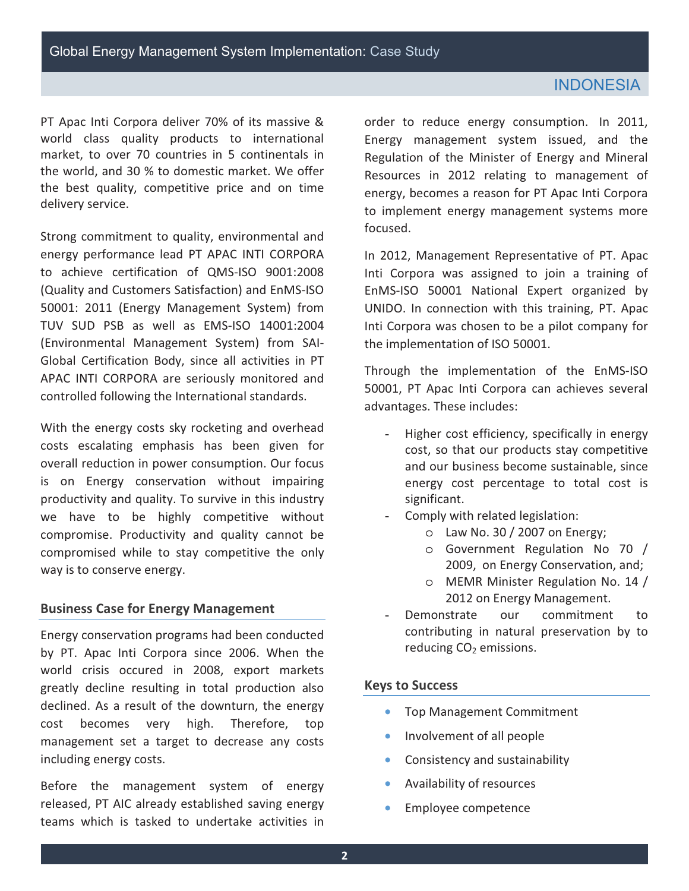### **INDONESIA**

 market, to over 70 countries in 5 continentals in the world, and 30 % to domestic market. We offer the best quality, competitive price and on time PT Apac Inti Corpora deliver 70% of its massive & world class quality products to international delivery service.

 Strong commitment to quality, environmental and energy performance lead PT APAC INTI CORPORA to achieve certification of QMS-ISO 9001:2008 Global Certification Body, since all activities in PT (Quality and Customers Satisfaction) and EnMS-ISO 50001: 2011 (Energy Management System) from TUV SUD PSB as well as EMS-ISO 14001:2004 (Environmental Management System) from SAI-APAC INTI CORPORA are seriously monitored and controlled following the International standards.

 With the energy costs sky rocketing and overhead overall reduction in power consumption. Our focus productivity and quality. To survive in this industry we have to be highly competitive without compromise. Productivity and quality cannot be compromised while to stay competitive the only costs escalating emphasis has been given for is on Energy conservation without impairing way is to conserve energy.

#### **Business Case for Energy Management**

 Energy conservation programs had been conducted by PT. Apac Inti Corpora since 2006. When the world crisis occured in 2008, export markets management set a target to decrease any costs including energy costs. greatly decline resulting in total production also declined. As a result of the downturn, the energy cost becomes very high. Therefore, top

Before the management system of energy released, PT AIC already established saving energy teams which is tasked to undertake activities in

 order to reduce energy consumption. In 2011, Energy management system issued, and the Regulation of the Minister of Energy and Mineral Resources in 2012 relating to management of energy, becomes a reason for PT Apac Inti Corpora to implement energy management systems more focused.

 In 2012, Management Representative of PT. Apac Inti Corpora was assigned to join a training of UNIDO. In connection with this training, PT. Apac Inti Corpora was chosen to be a pilot company for EnMS-ISO 50001 National Expert organized by the implementation of ISO 50001.

Through the implementation of the EnMS-ISO 50001, PT Apac Inti Corpora can achieves several advantages. These includes:

- Higher cost efficiency, specifically in energy cost, so that our products stay competitive energy cost percentage to total cost is and our business become sustainable, since significant.
- Comply with related legislation:
	- $\circ$  Law No. 30 / 2007 on Energy;
	- o Government Regulation No 70 / 2009, on Energy Conservation, and;
	- o MEMR Minister Regulation No. 14 / 2012 on Energy Management.
- contributing in natural preservation by to Demonstrate our commitment to reducing  $CO<sub>2</sub>$  emissions.

#### **Keys to Success**

- Top Management Commitment
- Involvement of all people
- Consistency and sustainability
- Availability of resources
- Employee competence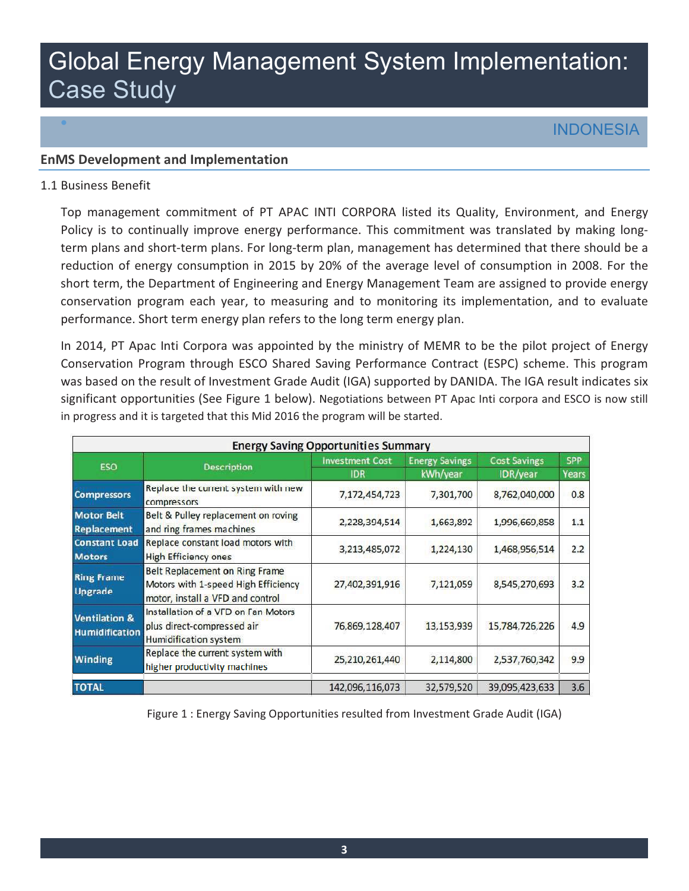# Global Energy Management System Implementation: Case Study

# • INDONESIA

#### **EnMS Development and Implementation**

#### 1.1 Business Benefit

 Top management commitment of PT APAC INTI CORPORA listed its Quality, Environment, and Energy Policy is to continually improve energy performance. This commitment was translated by making long- reduction of energy consumption in 2015 by 20% of the average level of consumption in 2008. For the conservation program each year, to measuring and to monitoring its implementation, and to evaluate performance. Short term energy plan refers to the long term energy plan. term plans and short-term plans. For long-term plan, management has determined that there should be a short term, the Department of Engineering and Energy Management Team are assigned to provide energy

 In 2014, PT Apac Inti Corpora was appointed by the ministry of MEMR to be the pilot project of Energy Conservation Program through ESCO Shared Saving Performance Contract (ESPC) scheme. This program was based on the result of Investment Grade Audit (IGA) supported by DANIDA. The IGA result indicates six significant opportunities (See Figure 1 below). Negotiations between PT Apac Inti corpora and ESCO is now still in progress and it is targeted that this Mid 2016 the program will be started.

| <b>Energy Saving Opportunities Summary</b>        |                                                                                                           |                                      |                                   |                                 |                     |
|---------------------------------------------------|-----------------------------------------------------------------------------------------------------------|--------------------------------------|-----------------------------------|---------------------------------|---------------------|
| <b>ESO</b>                                        | <b>Description</b>                                                                                        | <b>Investment Cost</b><br><b>IDR</b> | <b>Energy Savings</b><br>kWh/year | <b>Cost Savings</b><br>IDR/year | <b>SPP</b><br>Years |
| <b>Compressors</b>                                | Replace the current system with new<br>compressors                                                        | 7,172,454,723                        | 7,301,700                         | 8,762,040,000                   | 0.8                 |
| <b>Motor Belt</b><br>Replacement                  | Belt & Pulley replacement on roving<br>and ring frames machines                                           | 2,228,394,514                        | 1,663,892                         | 1,996,669,858                   | 1.1                 |
| <b>Constant Load</b><br><b>Motors</b>             | Replace constant load motors with<br><b>High Efficiency ones</b>                                          | 3,213,485,072                        | 1,224,130                         | 1,468,956,514                   | 2.2                 |
| <b>Ring Frame</b><br><b>Upgrade</b>               | Belt Replacement on Ring Frame<br>Motors with 1-speed High Efficiency<br>motor, install a VFD and control | 27,402,391,916                       | 7,121,059                         | 8,545,270,693                   | 3.2                 |
| <b>Ventilation &amp;</b><br><b>Humidification</b> | Installation of a VFD on Fan Motors<br>plus direct-compressed air<br>Humidification system                | 76,869,128,407                       | 13,153,939                        | 15,784,726,226                  | 4.9                 |
| <b>Winding</b>                                    | Replace the current system with<br>higher productivity machines                                           | 25,210,261,440                       | 2,114,800                         | 2,537,760,342                   | 9.9                 |
| <b>TOTAL</b>                                      |                                                                                                           | 142,096,116,073                      | 32,579,520                        | 39,095,423,633                  | 3.6                 |

Figure 1 : Energy Saving Opportunities resulted from Investment Grade Audit (IGA)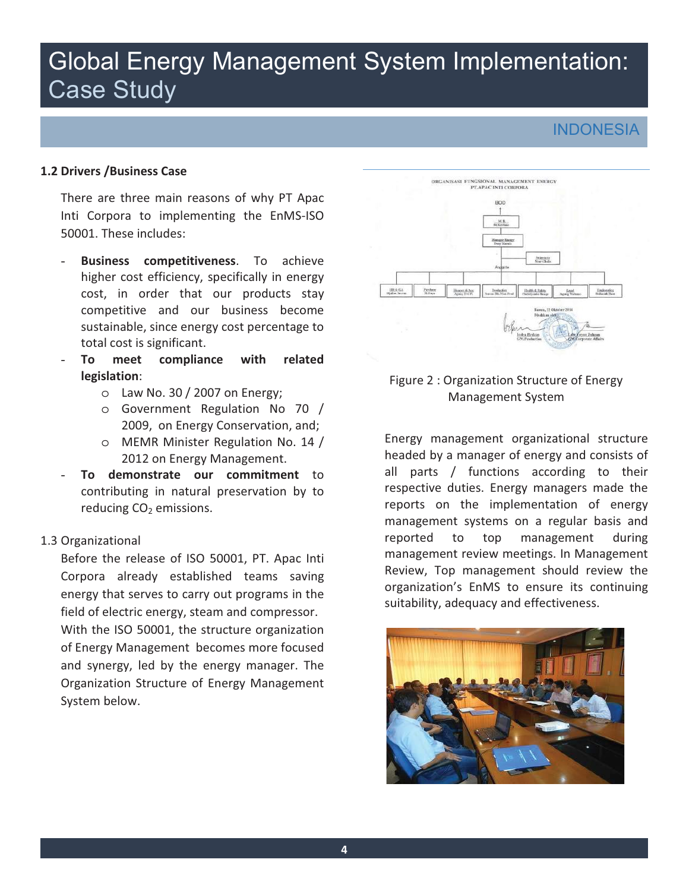# Global Energy Management System Implementation: Case Study

## **INDONESIA**

#### **�.� Drivers /Business Case**

 There are three main reasons of why PT Apac Inti Corpora to implementing the EnMS-ISO 50001. These includes:

- - **Business competitiveness**. To achieve higher cost efficiency, specifically in energy cost, in order that our products stay competitive and our business become sustainable, since energy cost percentage to total cost is significant.
- **To meet compliance with related legislation**:
	- $\circ$  Law No. 30 / 2007 on Energy;
	- o Government Regulation No 70 / 2009, on Energy Conservation, and;
	- o MEMR Minister Regulation No. 14 / 2012 on Energy Management.
- contributing in natural preservation by to To demonstrate our commitment to reducing  $CO<sub>2</sub>$  emissions.

#### 1.3 Organizational

 Before the release of ISO 50001, PT. Apac Inti field of electric energy, steam and compressor. Corpora already established teams saving energy that serves to carry out programs in the

 of Energy Management becomes more focused and synergy, led by the energy manager. The Organization Structure of Energy Management With the ISO 50001, the structure organization System below.



#### Figure 2 : Organization Structure of Energy Management System

 headed by a manager of energy and consists of all parts / functions according to their respective duties. Energy managers made the management systems on a regular basis and Review, Top management should review the organization's EnMS to ensure its continuing Energy management organizational structure reports on the implementation of energy reported to top management during management review meetings. In Management suitability, adequacy and effectiveness.

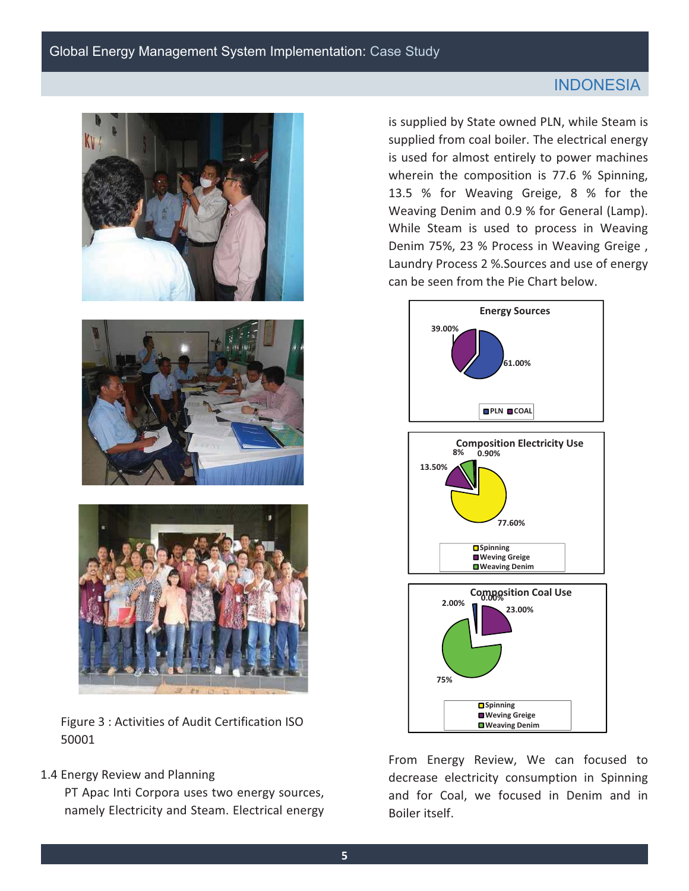### **INDONESIA**







Figure 3 : Activities of Audit Certification ISO 50001

#### 1.4 Energy Review and Planning

 PT Apac Inti Corpora uses two energy sources, namely Electricity and Steam. Electrical energy

 is supplied by State owned PLN, while Steam is supplied from coal boiler. The electrical energy is used for almost entirely to power machines wherein the composition is 77.6 % Spinning. 13.5 % for Weaving Greige, 8 % for the Weaving Denim and 0.9 % for General (Lamp). While Steam is used to process in Weaving Denim 75%, 23 % Process in Weaving Greige , Laundry Process 2 %.Sources and use of energy can be seen from the Pie Chart below.



 From Energy Review, We can focused to decrease electricity consumption in Spinning and for Coal, we focused in Denim and in Boiler itself.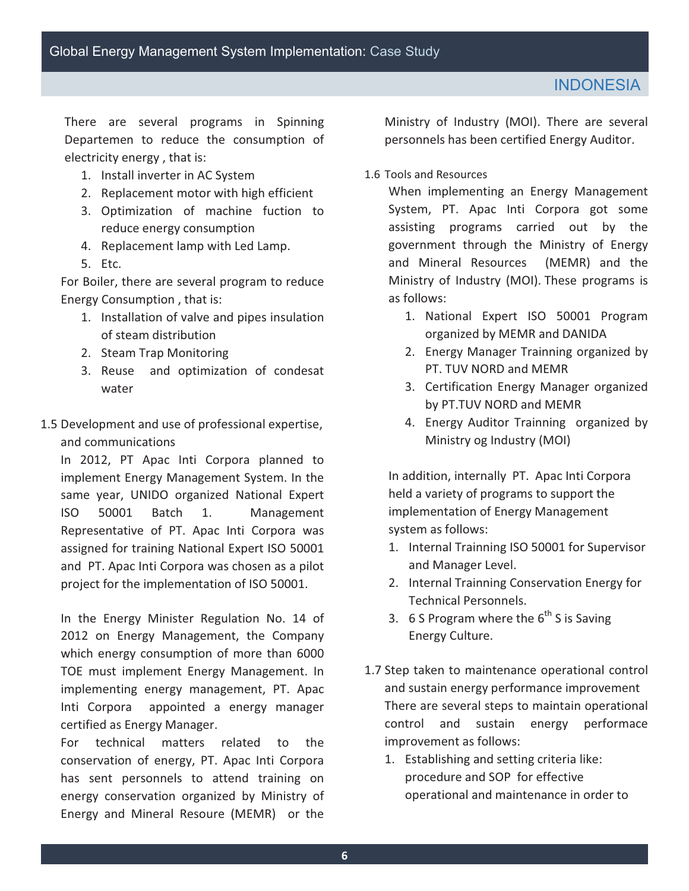There are several programs in Spinning Departemen to reduce the consumption of electricity energy , that is:

- 1. Install inverter in AC System
- 2. Replacement motor with high efficient
- 3.Optimization of machine fuction to reduce energy consumption
- 4. Replacement lamp with Led Lamp.
- 5.Etc.

 Energy Consumption , that is: For Boiler, there are several program to reduce

- 1. Installation of valve and pipes insulation of steam distribution
- 2. Steam Trap Monitoring
- 3.Reuse and optimization of condesat water
- 1.5 Development and use of professional expertise, and communications

 In 2012, PT Apac Inti Corpora planned to same year, UNIDO organized National Expert Batch and PT. Apac Inti Corpora was chosen as a pilot project for the implementation of ISO 50001. implement Energy Management System. In the ISO 50001 Batch 1. Management Representative of PT. Apac Inti Corpora was assigned for training National Expert ISO 50001

 In the Energy Minister Regulation No. 14 of which energy consumption of more than 6000 implementing energy management, PT. Apac Inti Corpora appointed a energy manager 2012 on Energy Management, the Company TOE must implement Energy Management. In certified as Energy Manager.

 For technical matters related to the conservation of energy, PT. Apac Inti Corpora has sent personnels to attend training on energy conservation organized by Ministry of Energy and Mineral Resoure (MEMR) or the

 Ministry of Industry (MOI). There are several personnels has been certified Energy Auditor.

1.6 Tools and Resources

 System, PT. Apac Inti Corpora got some assisting programs carried out by the government through the Ministry of Energy and Mineral Resources (MEMR) and the When implementing an Energy Management Ministry of Industry (MOI). These programs is as follows:

- 1. National Expert ISO 50001 Program organized by MEMR and DANIDA
- 2. Energy Manager Trainning organized by PT. TUV NORD and MEMR
- by PT.TUV NORD and MEMR 3.Certification Energy Manager organized
- 4. Energy Auditor Trainning organized by Ministry og Industry (MOI)

 In addition, internally PT. Apac Inti Corpora held a variety of programs to support the implementation of Energy Management system as follows:

- 1. Internal Trainning ISO 50001 for Supervisor and Manager Level.
- 2. Internal Trainning Conservation Energy for Technical Personnels.
- 3. 6 S Program where the  $6<sup>th</sup>$  S is Saving Energy Culture.
- control and sustain energy performace improvement as follows: 1.7 Step taken to maintenance operational control and sustain energy performance improvement There are several steps to maintain operational
	- 1.Establishing and setting criteria like: procedure and SOP for effective operational and maintenance in order to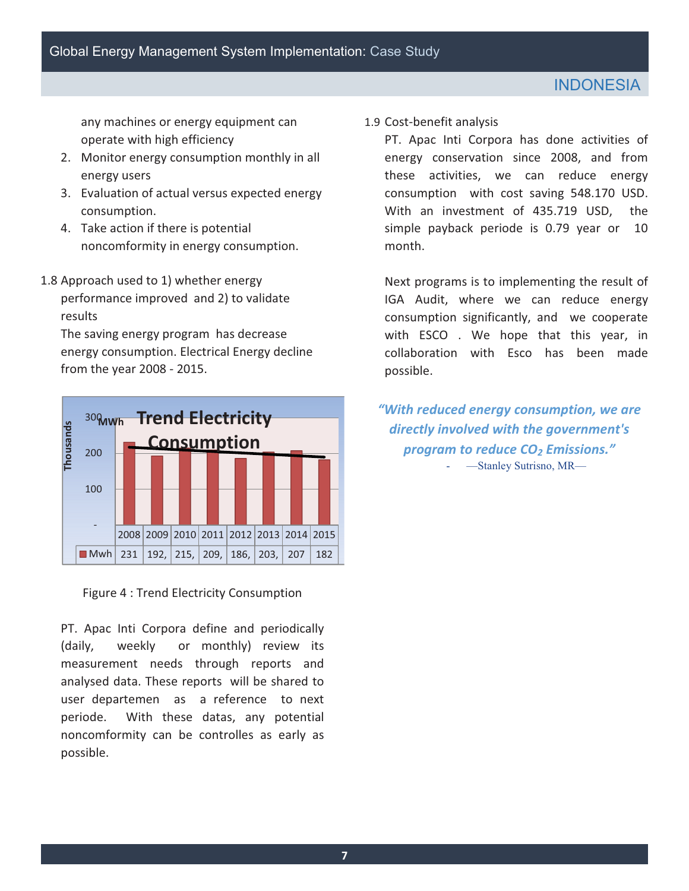any machines or energy equipment can operate with high efficiency

- energy users 2. Monitor energy consumption monthly in all
- 3.Evaluation of actual versus expected energy consumption.
- noncomformity in energy consumption. 4.Take action if there is potential
- 1.8 Approach used to 1) whether energy performance improved and 2) to validate results

The saving energy program has decrease energy consumption. Electrical Energy decline from the year 2008 - 2015.



Figure 4 : Trend Electricity Consumption

 PT. Apac Inti Corpora define and periodically weekly measurement needs through reports and user departemen as a reference to next periode. With these datas, any potential noncomformity can be controlles as early as (daily, weekly or monthly) review its analysed data. These reports will be shared to possible.

1.9 Cost-benefit analysis

 PT. Apac Inti Corpora has done activities of energy conservation since 2008, and from consumption with cost saving 548.170 USD. With an investment of 435.719 USD, the simple payback periode is 0.79 year or 10 these activities, we can reduce energy month.

 Next programs is to implementing the result of consumption significantly, and we cooperate with ESCO . We hope that this year, in collaboration with Esco has been made IGA Audit, where we can reduce energy possible.

*uwith reduced energy consumption, we are directly involved with the government's program to reduce C02 Emissions."* -Stanley Sutrisno, MR-